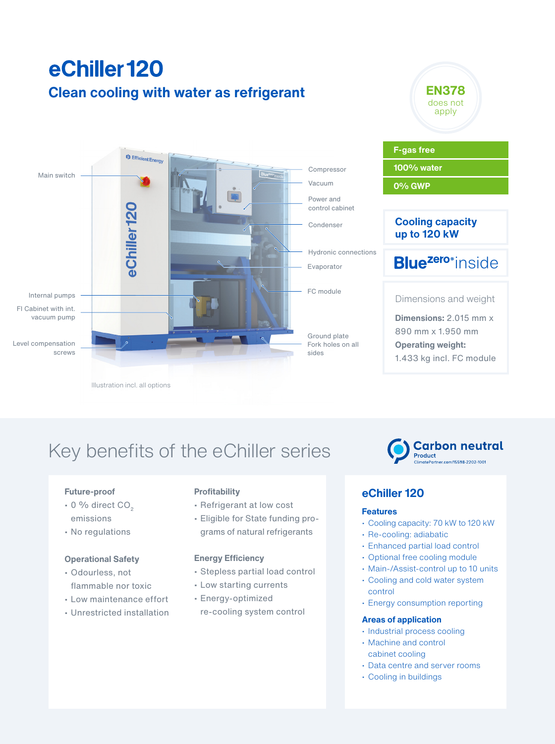# eChiller 120 **Clean cooling with water as refrigerant**



**EN378**  does not apply

# Dimensions and weight **Dimensions:** 2.015 mm x 890 mm x 1.950 mm **0% GWP Blue<sup>zero</sup>**inside **Cooling capacity up to 120 kW**

**Operating weight:**  1.433 kg incl. FC module

# Key benefits of the eChiller series

#### **Future-proof**

- $\cdot$  0 % direct CO<sub>2</sub> emissions
- No regulations

## **Operational Safety**

- Odourless, not flammable nor toxic
- Low maintenance effort
- Unrestricted installation

## **Profitability**

- Refrigerant at low cost
- Eligible for State funding programs of natural refrigerants

## **Energy Efficiency**

- Stepless partial load control
- Low starting currents
- Energy-optimized
- re-cooling system control



# **eChiller 120**

## **Features**

- Cooling capacity: 70 kW to 120 kW
- Re-cooling: adiabatic
- Enhanced partial load control
- Optional free cooling module
- Main-/Assist-control up to 10 units
- Cooling and cold water system control
- Energy consumption reporting

## **Areas of application**

- Industrial process cooling
- Machine and control cabinet cooling
- Data centre and server rooms
- Cooling in buildings